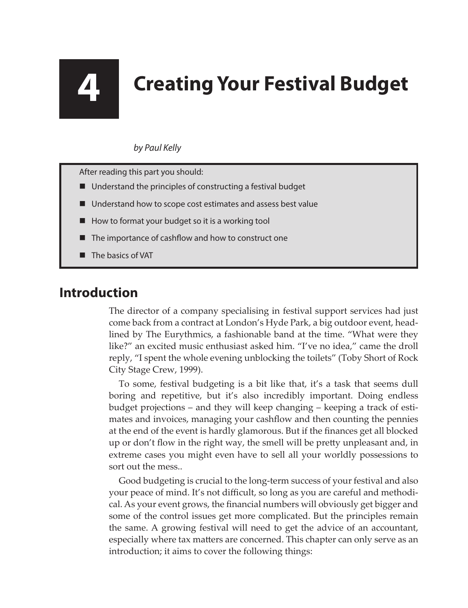# **4 Creating Your Festival Budget**

### *by Paul Kelly*

After reading this part you should:

- Understand the principles of constructing a festival budget
- Understand how to scope cost estimates and assess best value
- How to format your budget so it is a working tool
- The importance of cashflow and how to construct one
- The basics of VAT

# **Introduction**

The director of a company specialising in festival support services had just come back from a contract at London's Hyde Park, a big outdoor event, headlined by The Eurythmics, a fashionable band at the time. "What were they like?" an excited music enthusiast asked him. "I've no idea," came the droll reply, "I spent the whole evening unblocking the toilets" (Toby Short of Rock City Stage Crew, 1999).

To some, festival budgeting is a bit like that, it's a task that seems dull boring and repetitive, but it's also incredibly important. Doing endless budget projections – and they will keep changing – keeping a track of estimates and invoices, managing your cashflow and then counting the pennies at the end of the event is hardly glamorous. But if the finances get all blocked up or don't flow in the right way, the smell will be pretty unpleasant and, in extreme cases you might even have to sell all your worldly possessions to sort out the mess..

Good budgeting is crucial to the long-term success of your festival and also your peace of mind. It's not difficult, so long as you are careful and methodical. As your event grows, the financial numbers will obviously get bigger and some of the control issues get more complicated. But the principles remain the same. A growing festival will need to get the advice of an accountant, especially where tax matters are concerned. This chapter can only serve as an introduction; it aims to cover the following things: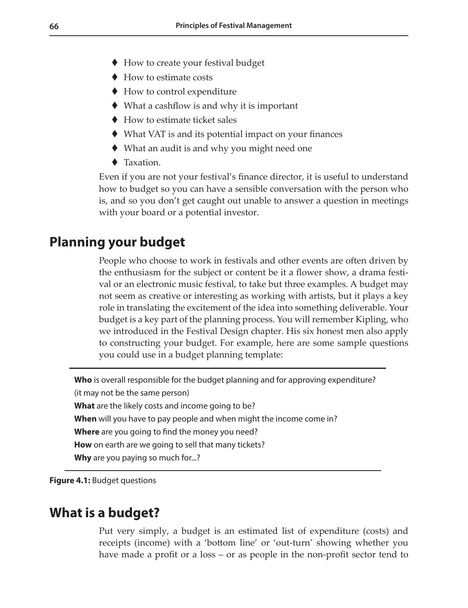- ◆ How to create your festival budget
- ◆ How to estimate costs
- ◆ How to control expenditure
- $\blacklozenge$  What a cashflow is and why it is important
- $\blacklozenge$  How to estimate ticket sales
- What VAT is and its potential impact on your finances
- What an audit is and why you might need one
- **◆** Taxation

Even if you are not your festival's finance director, it is useful to understand how to budget so you can have a sensible conversation with the person who is, and so you don't get caught out unable to answer a question in meetings with your board or a potential investor.

# **Planning your budget**

People who choose to work in festivals and other events are often driven by the enthusiasm for the subject or content be it a flower show, a drama festival or an electronic music festival, to take but three examples. A budget may not seem as creative or interesting as working with artists, but it plays a key role in translating the excitement of the idea into something deliverable. Your budget is a key part of the planning process. You will remember Kipling, who we introduced in the Festival Design chapter. His six honest men also apply to constructing your budget. For example, here are some sample questions you could use in a budget planning template:

**Who** is overall responsible for the budget planning and for approving expenditure? (it may not be the same person) **What** are the likely costs and income going to be? **When** will you have to pay people and when might the income come in? **Where** are you going to find the money you need? **How** on earth are we going to sell that many tickets? Why are you paying so much for...?

**Figure 4.1:** Budget questions

## **What is a budget?**

Put very simply, a budget is an estimated list of expenditure (costs) and receipts (income) with a 'bottom line' or 'out-turn' showing whether you have made a profit or a loss – or as people in the non-profit sector tend to